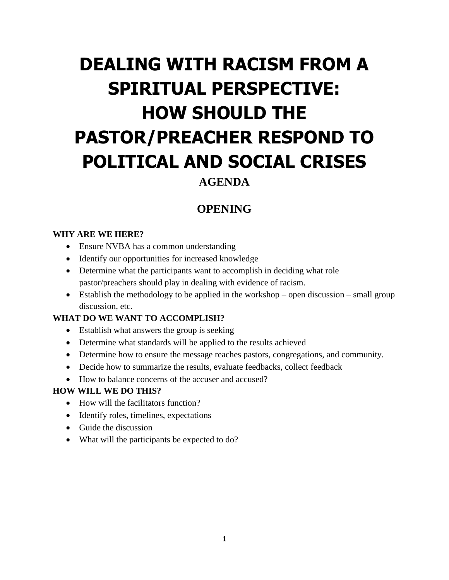# **DEALING WITH RACISM FROM A SPIRITUAL PERSPECTIVE: HOW SHOULD THE PASTOR/PREACHER RESPOND TO POLITICAL AND SOCIAL CRISES**

## **AGENDA**

# **OPENING**

### **WHY ARE WE HERE?**

- Ensure NVBA has a common understanding
- Identify our opportunities for increased knowledge
- Determine what the participants want to accomplish in deciding what role pastor/preachers should play in dealing with evidence of racism.
- Establish the methodology to be applied in the workshop open discussion small group discussion, etc.

### **WHAT DO WE WANT TO ACCOMPLISH?**

- Establish what answers the group is seeking
- Determine what standards will be applied to the results achieved
- Determine how to ensure the message reaches pastors, congregations, and community.
- Decide how to summarize the results, evaluate feedbacks, collect feedback
- How to balance concerns of the accuser and accused?

### **HOW WILL WE DO THIS?**

- How will the facilitators function?
- Identify roles, timelines, expectations
- Guide the discussion
- What will the participants be expected to do?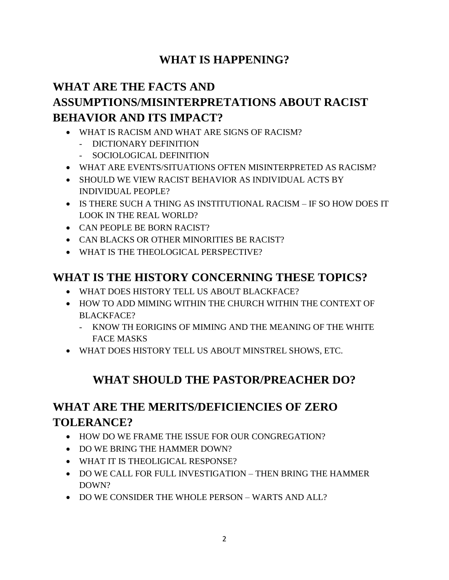# **WHAT IS HAPPENING?**

# **WHAT ARE THE FACTS AND ASSUMPTIONS/MISINTERPRETATIONS ABOUT RACIST BEHAVIOR AND ITS IMPACT?**

- WHAT IS RACISM AND WHAT ARE SIGNS OF RACISM?
	- DICTIONARY DEFINITION
	- SOCIOLOGICAL DEFINITION
- WHAT ARE EVENTS/SITUATIONS OFTEN MISINTERPRETED AS RACISM?
- SHOULD WE VIEW RACIST BEHAVIOR AS INDIVIDUAL ACTS BY INDIVIDUAL PEOPLE?
- IS THERE SUCH A THING AS INSTITUTIONAL RACISM IF SO HOW DOES IT LOOK IN THE REAL WORLD?
- CAN PEOPLE BE BORN RACIST?
- CAN BLACKS OR OTHER MINORITIES BE RACIST?
- WHAT IS THE THEOLOGICAL PERSPECTIVE?

# **WHAT IS THE HISTORY CONCERNING THESE TOPICS?**

- WHAT DOES HISTORY TELL US ABOUT BLACKFACE?
- HOW TO ADD MIMING WITHIN THE CHURCH WITHIN THE CONTEXT OF BLACKFACE?
	- KNOW TH EORIGINS OF MIMING AND THE MEANING OF THE WHITE FACE MASKS
- WHAT DOES HISTORY TELL US ABOUT MINSTREL SHOWS, ETC.

# **WHAT SHOULD THE PASTOR/PREACHER DO?**

# **WHAT ARE THE MERITS/DEFICIENCIES OF ZERO TOLERANCE?**

- HOW DO WE FRAME THE ISSUE FOR OUR CONGREGATION?
- DO WE BRING THE HAMMER DOWN?
- WHAT IT IS THEOLIGICAL RESPONSE?
- DO WE CALL FOR FULL INVESTIGATION THEN BRING THE HAMMER DOWN?
- DO WE CONSIDER THE WHOLE PERSON WARTS AND ALL?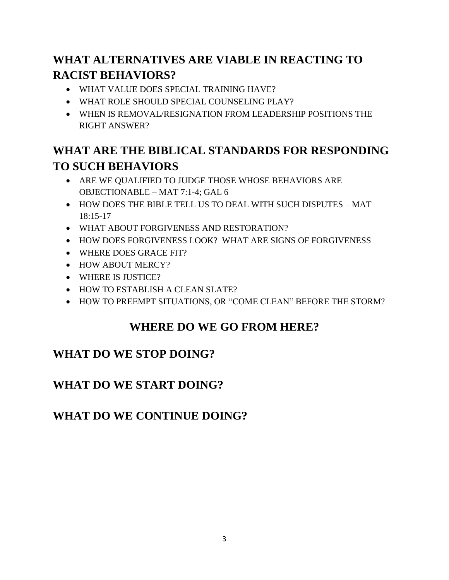# **WHAT ALTERNATIVES ARE VIABLE IN REACTING TO RACIST BEHAVIORS?**

- WHAT VALUE DOES SPECIAL TRAINING HAVE?
- WHAT ROLE SHOULD SPECIAL COUNSELING PLAY?
- WHEN IS REMOVAL/RESIGNATION FROM LEADERSHIP POSITIONS THE RIGHT ANSWER?

# **WHAT ARE THE BIBLICAL STANDARDS FOR RESPONDING TO SUCH BEHAVIORS**

- ARE WE QUALIFIED TO JUDGE THOSE WHOSE BEHAVIORS ARE OBJECTIONABLE – MAT 7:1-4; GAL 6
- HOW DOES THE BIBLE TELL US TO DEAL WITH SUCH DISPUTES MAT 18:15-17
- WHAT ABOUT FORGIVENESS AND RESTORATION?
- HOW DOES FORGIVENESS LOOK? WHAT ARE SIGNS OF FORGIVENESS
- WHERE DOES GRACE FIT?
- HOW ABOUT MERCY?
- WHERE IS JUSTICE?
- HOW TO ESTABLISH A CLEAN SLATE?
- HOW TO PREEMPT SITUATIONS, OR "COME CLEAN" BEFORE THE STORM?

# **WHERE DO WE GO FROM HERE?**

# **WHAT DO WE STOP DOING?**

# **WHAT DO WE START DOING?**

# **WHAT DO WE CONTINUE DOING?**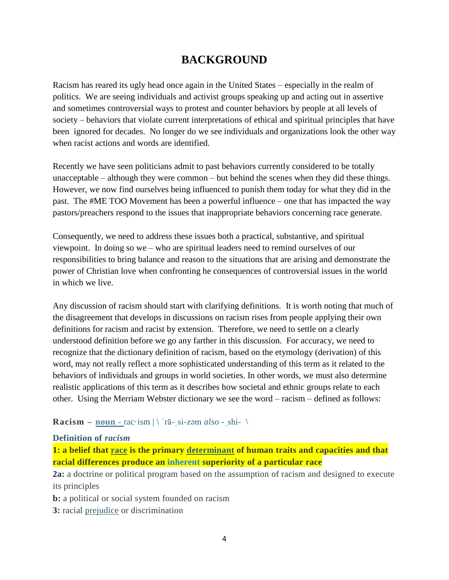# **BACKGROUND**

Racism has reared its ugly head once again in the United States – especially in the realm of politics. We are seeing individuals and activist groups speaking up and acting out in assertive and sometimes controversial ways to protest and counter behaviors by people at all levels of society – behaviors that violate current interpretations of ethical and spiritual principles that have been ignored for decades. No longer do we see individuals and organizations look the other way when racist actions and words are identified.

Recently we have seen politicians admit to past behaviors currently considered to be totally unacceptable – although they were common – but behind the scenes when they did these things. However, we now find ourselves being influenced to punish them today for what they did in the past. The #ME TOO Movement has been a powerful influence – one that has impacted the way pastors/preachers respond to the issues that inappropriate behaviors concerning race generate.

Consequently, we need to address these issues both a practical, substantive, and spiritual viewpoint. In doing so we – who are spiritual leaders need to remind ourselves of our responsibilities to bring balance and reason to the situations that are arising and demonstrate the power of Christian love when confronting he consequences of controversial issues in the world in which we live.

Any discussion of racism should start with clarifying definitions. It is worth noting that much of the disagreement that develops in discussions on racism rises from people applying their own definitions for racism and racist by extension. Therefore, we need to settle on a clearly understood definition before we go any farther in this discussion. For accuracy, we need to recognize that the dictionary definition of racism, based on the etymology (derivation) of this word, may not really reflect a more sophisticated understanding of this term as it related to the behaviors of individuals and groups in world societies. In other words, we must also determine realistic applications of this term as it describes how societal and ethnic groups relate to each other. Using the Merriam Webster dictionary we see the word – racism – defined as follows:

#### **Racism** –  $\frac{\textbf{noun} - \textbf{noc} \cdot \textbf{i} - \textbf{noc} \cdot \textbf{j}}{\textbf{n} - \textbf{noc} \cdot \textbf{n}}$  $\frac{\textbf{noun} - \textbf{noc} \cdot \textbf{i} - \textbf{noc} \cdot \textbf{j}}{\textbf{n} - \textbf{noc} \cdot \textbf{n}}$  $\frac{\textbf{noun} - \textbf{noc} \cdot \textbf{i} - \textbf{noc} \cdot \textbf{j}}{\textbf{n} - \textbf{noc} \cdot \textbf{n}}$

#### **Definition of** *racism*

**1: a belief that [race](https://www.merriam-webster.com/dictionary/race#h3) is the primary [determinant](https://www.merriam-webster.com/dictionary/determinant) of human traits and capacities and that racial differences produce an inherent superiority of a particular race**

**2a:** a doctrine or political program based on the assumption of racism and designed to execute its principles

**b:** a political or social system founded on racism

**3:** racial [prejudice](https://www.merriam-webster.com/dictionary/prejudice#h1) or discrimination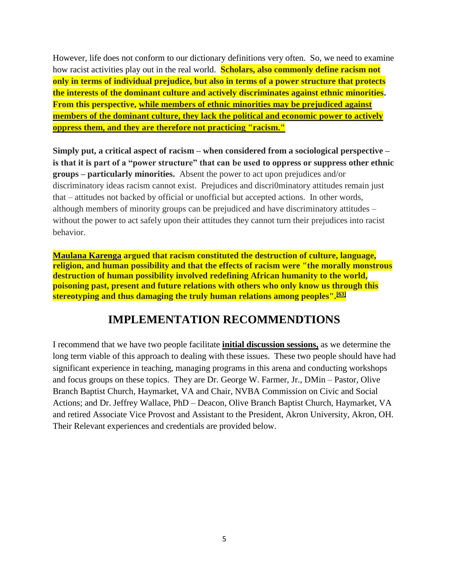However, life does not conform to our dictionary definitions very often. So, we need to examine how racist activities play out in the real world. **Scholars, also commonly define racism not only in terms of individual prejudice, but also in terms of a power structure that protects the interests of the dominant culture and actively discriminates against ethnic minorities. From this perspective, while members of ethnic minorities may be prejudiced against members of the dominant culture, they lack the political and economic power to actively oppress them, and they are therefore not practicing "racism."** 

**Simply put, a critical aspect of racism – when considered from a sociological perspective – is that it is part of a "power structure" that can be used to oppress or suppress other ethnic groups – particularly minorities.** Absent the power to act upon prejudices and/or discriminatory ideas racism cannot exist. Prejudices and discri0minatory attitudes remain just that – attitudes not backed by official or unofficial but accepted actions. In other words, although members of minority groups can be prejudiced and have discriminatory attitudes – without the power to act safely upon their attitudes they cannot turn their prejudices into racist behavior.

**[Maulana Karenga](https://en.wikipedia.org/wiki/Maulana_Karenga) argued that racism constituted the destruction of culture, language, religion, and human possibility and that the effects of racism were "the morally monstrous destruction of human possibility involved redefining African humanity to the world, poisoning past, present and future relations with others who only know us through this stereotyping and thus damaging the truly human relations among peoples".[\[63\]](https://en.wikipedia.org/wiki/Racism#cite_note-63)**

### **IMPLEMENTATION RECOMMENDTIONS**

I recommend that we have two people facilitate **initial discussion sessions,** as we determine the long term viable of this approach to dealing with these issues. These two people should have had significant experience in teaching, managing programs in this arena and conducting workshops and focus groups on these topics. They are Dr. George W. Farmer, Jr., DMin – Pastor, Olive Branch Baptist Church, Haymarket, VA and Chair, NVBA Commission on Civic and Social Actions; and Dr. Jeffrey Wallace, PhD – Deacon, Olive Branch Baptist Church, Haymarket, VA and retired Associate Vice Provost and Assistant to the President, Akron University, Akron, OH. Their Relevant experiences and credentials are provided below.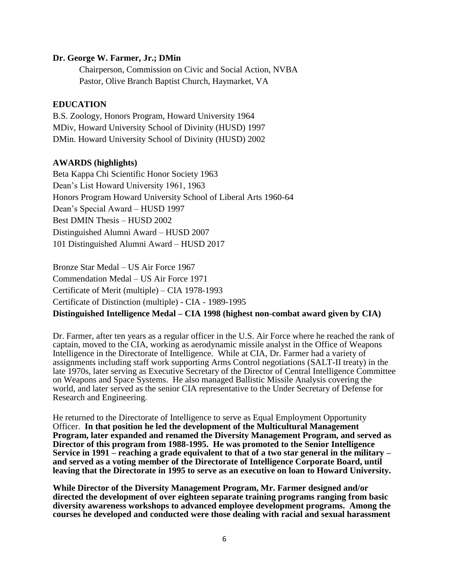#### **Dr. George W. Farmer, Jr.; DMin**

Chairperson, Commission on Civic and Social Action, NVBA Pastor, Olive Branch Baptist Church, Haymarket, VA

#### **EDUCATION**

B.S. Zoology, Honors Program, Howard University 1964 MDiv, Howard University School of Divinity (HUSD) 1997 DMin. Howard University School of Divinity (HUSD) 2002

#### **AWARDS (highlights)**

Beta Kappa Chi Scientific Honor Society 1963 Dean's List Howard University 1961, 1963 Honors Program Howard University School of Liberal Arts 1960-64 Dean's Special Award – HUSD 1997 Best DMIN Thesis – HUSD 2002 Distinguished Alumni Award – HUSD 2007 101 Distinguished Alumni Award – HUSD 2017

Bronze Star Medal – US Air Force 1967 Commendation Medal – US Air Force 1971 Certificate of Merit (multiple) – CIA 1978-1993 Certificate of Distinction (multiple) - CIA - 1989-1995 **Distinguished Intelligence Medal – CIA 1998 (highest non-combat award given by CIA)**

Dr. Farmer, after ten years as a regular officer in the U.S. Air Force where he reached the rank of captain, moved to the CIA, working as aerodynamic missile analyst in the Office of Weapons Intelligence in the Directorate of Intelligence. While at CIA, Dr. Farmer had a variety of assignments including staff work supporting Arms Control negotiations (SALT-II treaty) in the late 1970s, later serving as Executive Secretary of the Director of Central Intelligence Committee on Weapons and Space Systems. He also managed Ballistic Missile Analysis covering the world, and later served as the senior CIA representative to the Under Secretary of Defense for Research and Engineering.

He returned to the Directorate of Intelligence to serve as Equal Employment Opportunity Officer. **In that position he led the development of the Multicultural Management Program, later expanded and renamed the Diversity Management Program, and served as Director of this program from 1988-1995. He was promoted to the Senior Intelligence Service in 1991 – reaching a grade equivalent to that of a two star general in the military – and served as a voting member of the Directorate of Intelligence Corporate Board, until leaving that the Directorate in 1995 to serve as an executive on loan to Howard University.**

**While Director of the Diversity Management Program, Mr. Farmer designed and/or directed the development of over eighteen separate training programs ranging from basic diversity awareness workshops to advanced employee development programs. Among the courses he developed and conducted were those dealing with racial and sexual harassment**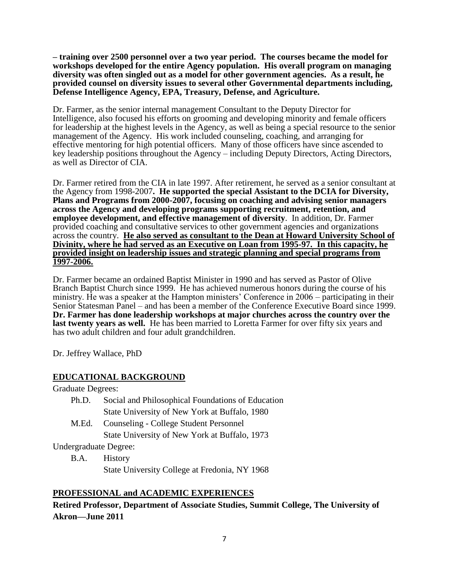**– training over 2500 personnel over a two year period. The courses became the model for workshops developed for the entire Agency population. His overall program on managing diversity was often singled out as a model for other government agencies. As a result, he provided counsel on diversity issues to several other Governmental departments including, Defense Intelligence Agency, EPA, Treasury, Defense, and Agriculture.** 

Dr. Farmer, as the senior internal management Consultant to the Deputy Director for Intelligence, also focused his efforts on grooming and developing minority and female officers for leadership at the highest levels in the Agency, as well as being a special resource to the senior management of the Agency. His work included counseling, coaching, and arranging for effective mentoring for high potential officers. Many of those officers have since ascended to key leadership positions throughout the Agency – including Deputy Directors, Acting Directors, as well as Director of CIA.

Dr. Farmer retired from the CIA in late 1997. After retirement, he served as a senior consultant at the Agency from 1998-2007**. He supported the special Assistant to the DCIA for Diversity, Plans and Programs from 2000-2007, focusing on coaching and advising senior managers across the Agency and developing programs supporting recruitment, retention, and employee development, and effective management of diversity**. In addition, Dr. Farmer provided coaching and consultative services to other government agencies and organizations across the country. **He also served as consultant to the Dean at Howard University School of Divinity, where he had served as an Executive on Loan from 1995-97. In this capacity, he provided insight on leadership issues and strategic planning and special programs from 1997-2006.** 

Dr. Farmer became an ordained Baptist Minister in 1990 and has served as Pastor of Olive Branch Baptist Church since 1999. He has achieved numerous honors during the course of his ministry. He was a speaker at the Hampton ministers' Conference in 2006 – participating in their Senior Statesman Panel – and has been a member of the Conference Executive Board since 1999. **Dr. Farmer has done leadership workshops at major churches across the country over the last twenty years as well.** He has been married to Loretta Farmer for over fifty six years and has two adult children and four adult grandchildren.

Dr. Jeffrey Wallace, PhD

#### **EDUCATIONAL BACKGROUND**

Graduate Degrees:

- Ph.D. Social and Philosophical Foundations of Education State University of New York at Buffalo, 1980
- M.Ed. Counseling College Student Personnel State University of New York at Buffalo, 1973

Undergraduate Degree:

B.A. History State University College at Fredonia, NY 1968

### **PROFESSIONAL and ACADEMIC EXPERIENCES**

**Retired Professor, Department of Associate Studies, Summit College, The University of Akron—June 2011**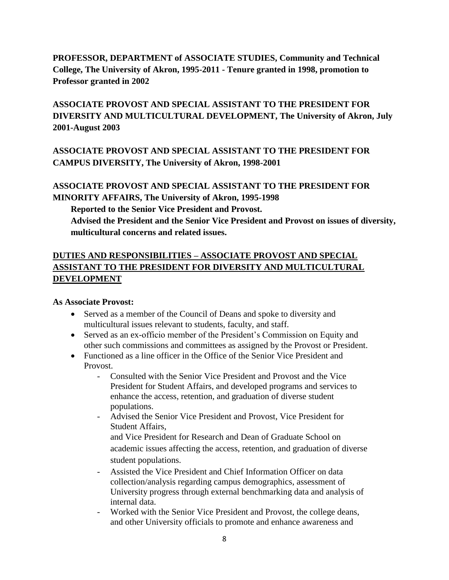### **PROFESSOR, DEPARTMENT of ASSOCIATE STUDIES, Community and Technical College, The University of Akron, 1995-2011 - Tenure granted in 1998, promotion to Professor granted in 2002**

### **ASSOCIATE PROVOST AND SPECIAL ASSISTANT TO THE PRESIDENT FOR DIVERSITY AND MULTICULTURAL DEVELOPMENT, The University of Akron, July 2001-August 2003**

### **ASSOCIATE PROVOST AND SPECIAL ASSISTANT TO THE PRESIDENT FOR CAMPUS DIVERSITY, The University of Akron, 1998-2001**

### **ASSOCIATE PROVOST AND SPECIAL ASSISTANT TO THE PRESIDENT FOR MINORITY AFFAIRS, The University of Akron, 1995-1998**

**Reported to the Senior Vice President and Provost. Advised the President and the Senior Vice President and Provost on issues of diversity, multicultural concerns and related issues.**

### **DUTIES AND RESPONSIBILITIES – ASSOCIATE PROVOST AND SPECIAL ASSISTANT TO THE PRESIDENT FOR DIVERSITY AND MULTICULTURAL DEVELOPMENT**

#### **As Associate Provost:**

- Served as a member of the Council of Deans and spoke to diversity and multicultural issues relevant to students, faculty, and staff.
- Served as an ex-officio member of the President's Commission on Equity and other such commissions and committees as assigned by the Provost or President.
- Functioned as a line officer in the Office of the Senior Vice President and Provost.
	- Consulted with the Senior Vice President and Provost and the Vice President for Student Affairs, and developed programs and services to enhance the access, retention, and graduation of diverse student populations.
	- Advised the Senior Vice President and Provost, Vice President for Student Affairs, and Vice President for Research and Dean of Graduate School on
		- academic issues affecting the access, retention, and graduation of diverse student populations.
	- Assisted the Vice President and Chief Information Officer on data collection/analysis regarding campus demographics, assessment of University progress through external benchmarking data and analysis of internal data.
	- Worked with the Senior Vice President and Provost, the college deans, and other University officials to promote and enhance awareness and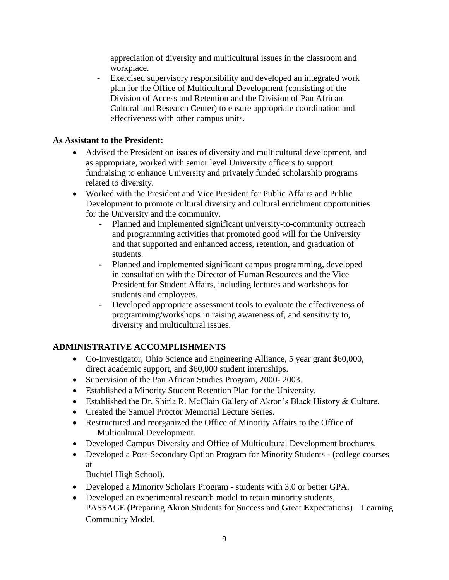appreciation of diversity and multicultural issues in the classroom and workplace.

- Exercised supervisory responsibility and developed an integrated work plan for the Office of Multicultural Development (consisting of the Division of Access and Retention and the Division of Pan African Cultural and Research Center) to ensure appropriate coordination and effectiveness with other campus units.

### **As Assistant to the President:**

- Advised the President on issues of diversity and multicultural development, and as appropriate, worked with senior level University officers to support fundraising to enhance University and privately funded scholarship programs related to diversity.
- Worked with the President and Vice President for Public Affairs and Public Development to promote cultural diversity and cultural enrichment opportunities for the University and the community.
	- Planned and implemented significant university-to-community outreach and programming activities that promoted good will for the University and that supported and enhanced access, retention, and graduation of students.
	- Planned and implemented significant campus programming, developed in consultation with the Director of Human Resources and the Vice President for Student Affairs, including lectures and workshops for students and employees.
	- Developed appropriate assessment tools to evaluate the effectiveness of programming/workshops in raising awareness of, and sensitivity to, diversity and multicultural issues.

### **ADMINISTRATIVE ACCOMPLISHMENTS**

- Co-Investigator, Ohio Science and Engineering Alliance, 5 year grant \$60,000, direct academic support, and \$60,000 student internships.
- Supervision of the Pan African Studies Program, 2000-2003.
- Established a Minority Student Retention Plan for the University.
- Established the Dr. Shirla R. McClain Gallery of Akron's Black History & Culture.
- Created the Samuel Proctor Memorial Lecture Series.
- Restructured and reorganized the Office of Minority Affairs to the Office of Multicultural Development.
- Developed Campus Diversity and Office of Multicultural Development brochures.
- Developed a Post-Secondary Option Program for Minority Students (college courses at

Buchtel High School).

- Developed a Minority Scholars Program students with 3.0 or better GPA.
- Developed an experimental research model to retain minority students, PASSAGE (**P**reparing **A**kron **S**tudents for **S**uccess and **G**reat **E**xpectations) – Learning Community Model.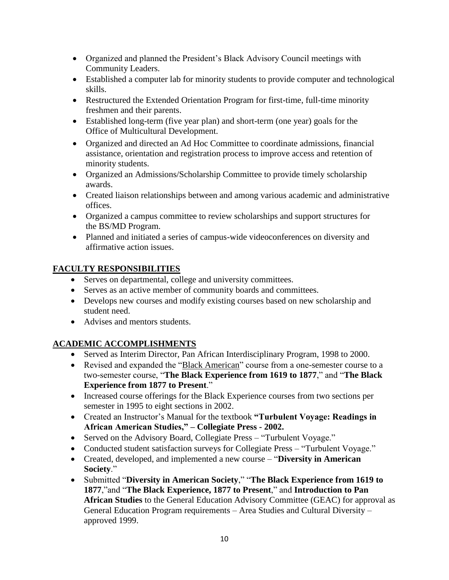- Organized and planned the President's Black Advisory Council meetings with Community Leaders.
- Established a computer lab for minority students to provide computer and technological skills.
- Restructured the Extended Orientation Program for first-time, full-time minority freshmen and their parents.
- Established long-term (five year plan) and short-term (one year) goals for the Office of Multicultural Development.
- Organized and directed an Ad Hoc Committee to coordinate admissions, financial assistance, orientation and registration process to improve access and retention of minority students.
- Organized an Admissions/Scholarship Committee to provide timely scholarship awards.
- Created liaison relationships between and among various academic and administrative offices.
- Organized a campus committee to review scholarships and support structures for the BS/MD Program.
- Planned and initiated a series of campus-wide videoconferences on diversity and affirmative action issues.

### **FACULTY RESPONSIBILITIES**

- Serves on departmental, college and university committees.
- Serves as an active member of community boards and committees.
- Develops new courses and modify existing courses based on new scholarship and student need.
- Advises and mentors students.

### **ACADEMIC ACCOMPLISHMENTS**

- Served as Interim Director, Pan African Interdisciplinary Program, 1998 to 2000.
- Revised and expanded the "Black American" course from a one-semester course to a two-semester course, "**The Black Experience from 1619 to 1877**," and "**The Black Experience from 1877 to Present**."
- Increased course offerings for the Black Experience courses from two sections per semester in 1995 to eight sections in 2002.
- Created an Instructor's Manual for the textbook **"Turbulent Voyage: Readings in African American Studies," – Collegiate Press - 2002.**
- Served on the Advisory Board, Collegiate Press "Turbulent Voyage."
- Conducted student satisfaction surveys for Collegiate Press "Turbulent Voyage."
- Created, developed, and implemented a new course "**Diversity in American Society**."
- Submitted "**Diversity in American Society**," "**The Black Experience from 1619 to 1877**,"and "**The Black Experience, 1877 to Present**," and **Introduction to Pan African Studies** to the General Education Advisory Committee (GEAC) for approval as General Education Program requirements – Area Studies and Cultural Diversity – approved 1999.